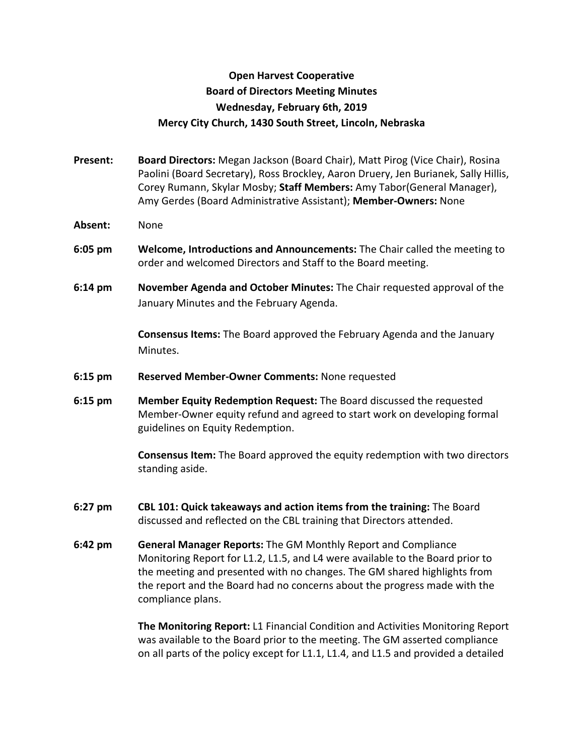## **Open Harvest Cooperative Board of Directors Meeting Minutes Wednesday, February 6th, 2019 Mercy City Church, 1430 South Street, Lincoln, Nebraska**

- **Present: Board Directors:** Megan Jackson (Board Chair), Matt Pirog (Vice Chair), Rosina Paolini (Board Secretary), Ross Brockley, Aaron Druery, Jen Burianek, Sally Hillis, Corey Rumann, Skylar Mosby; **Staff Members:** Amy Tabor(General Manager), Amy Gerdes (Board Administrative Assistant); **Member-Owners:** None
- **Absent:** None
- **6:05 pm Welcome, Introductions and Announcements:** The Chair called the meeting to order and welcomed Directors and Staff to the Board meeting.
- **6:14 pm November Agenda and October Minutes:** The Chair requested approval of the January Minutes and the February Agenda.

**Consensus Items:** The Board approved the February Agenda and the January Minutes.

- **6:15 pm Reserved Member-Owner Comments:** None requested
- **6:15 pm Member Equity Redemption Request:** The Board discussed the requested Member-Owner equity refund and agreed to start work on developing formal guidelines on Equity Redemption.

**Consensus Item:** The Board approved the equity redemption with two directors standing aside.

- **6:27 pm CBL 101: Quick takeaways and action items from the training:** The Board discussed and reflected on the CBL training that Directors attended.
- **6:42 pm General Manager Reports:** The GM Monthly Report and Compliance Monitoring Report for L1.2, L1.5, and L4 were available to the Board prior to the meeting and presented with no changes. The GM shared highlights from the report and the Board had no concerns about the progress made with the compliance plans.

**The Monitoring Report:** L1 Financial Condition and Activities Monitoring Report was available to the Board prior to the meeting. The GM asserted compliance on all parts of the policy except for L1.1, L1.4, and L1.5 and provided a detailed